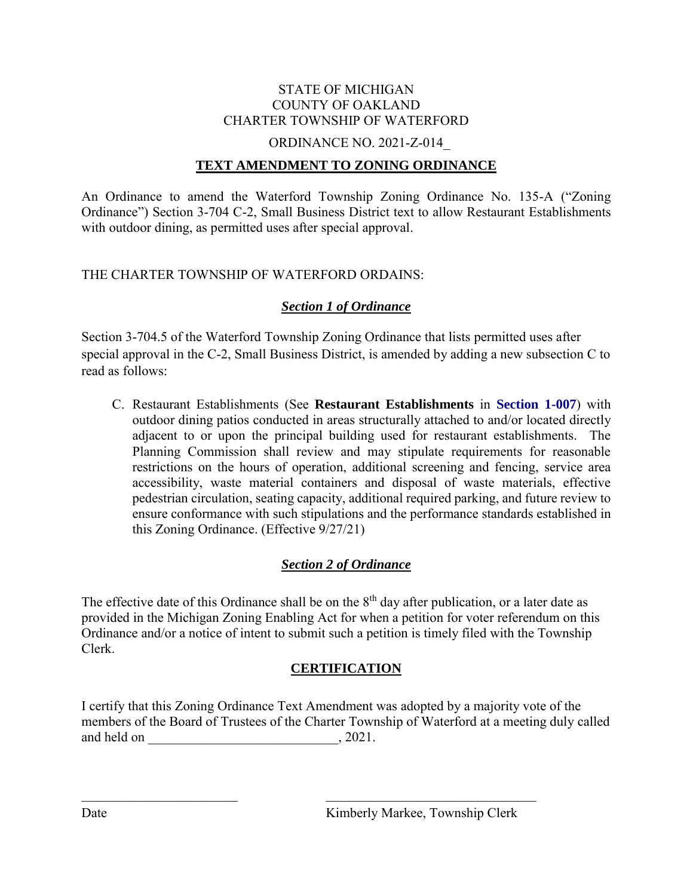#### STATE OF MICHIGAN COUNTY OF OAKLAND CHARTER TOWNSHIP OF WATERFORD

#### ORDINANCE NO. 2021-Z-014\_

#### **TEXT AMENDMENT TO ZONING ORDINANCE**

An Ordinance to amend the Waterford Township Zoning Ordinance No. 135-A ("Zoning Ordinance") Section 3-704 C-2, Small Business District text to allow Restaurant Establishments with outdoor dining, as permitted uses after special approval.

#### THE CHARTER TOWNSHIP OF WATERFORD ORDAINS:

### *Section 1 of Ordinance*

Section 3-704.5 of the Waterford Township Zoning Ordinance that lists permitted uses after special approval in the C-2, Small Business District, is amended by adding a new subsection C to read as follows:

C. Restaurant Establishments (See **Restaurant Establishments** in **Section 1-007**) with outdoor dining patios conducted in areas structurally attached to and/or located directly adjacent to or upon the principal building used for restaurant establishments. The Planning Commission shall review and may stipulate requirements for reasonable restrictions on the hours of operation, additional screening and fencing, service area accessibility, waste material containers and disposal of waste materials, effective pedestrian circulation, seating capacity, additional required parking, and future review to ensure conformance with such stipulations and the performance standards established in this Zoning Ordinance. (Effective 9/27/21)

### *Section 2 of Ordinance*

The effective date of this Ordinance shall be on the  $8<sup>th</sup>$  day after publication, or a later date as provided in the Michigan Zoning Enabling Act for when a petition for voter referendum on this Ordinance and/or a notice of intent to submit such a petition is timely filed with the Township Clerk.

### **CERTIFICATION**

I certify that this Zoning Ordinance Text Amendment was adopted by a majority vote of the members of the Board of Trustees of the Charter Township of Waterford at a meeting duly called and held on \_\_\_\_\_\_\_\_\_\_\_\_\_\_\_\_\_\_\_\_\_\_\_\_\_\_\_\_, 2021.

 $\overline{\phantom{a}}$  ,  $\overline{\phantom{a}}$  ,  $\overline{\phantom{a}}$  ,  $\overline{\phantom{a}}$  ,  $\overline{\phantom{a}}$  ,  $\overline{\phantom{a}}$  ,  $\overline{\phantom{a}}$  ,  $\overline{\phantom{a}}$  ,  $\overline{\phantom{a}}$  ,  $\overline{\phantom{a}}$  ,  $\overline{\phantom{a}}$  ,  $\overline{\phantom{a}}$  ,  $\overline{\phantom{a}}$  ,  $\overline{\phantom{a}}$  ,  $\overline{\phantom{a}}$  ,  $\overline{\phantom{a}}$